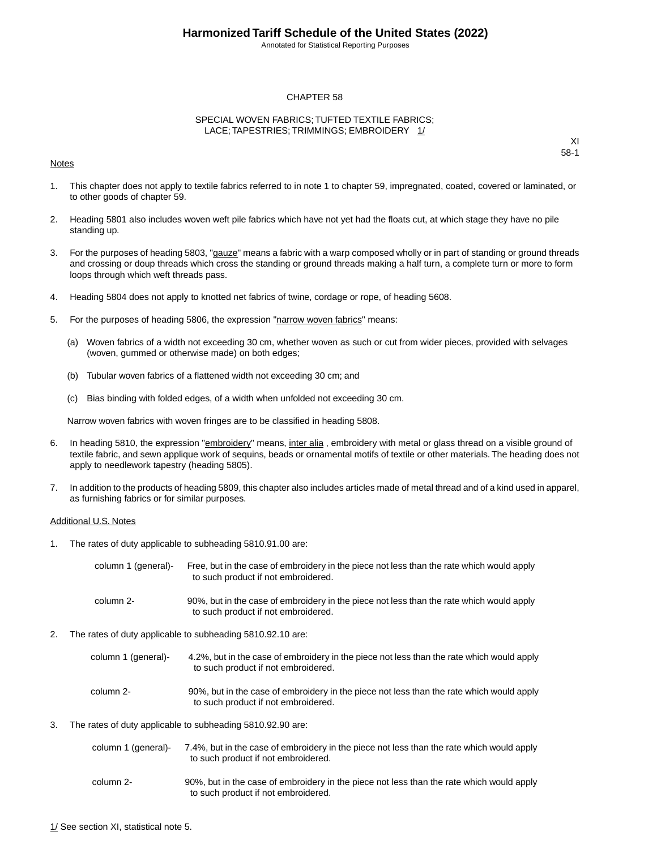Annotated for Statistical Reporting Purposes

#### CHAPTER 58

#### SPECIAL WOVEN FABRICS; TUFTED TEXTILE FABRICS; LACE; TAPESTRIES; TRIMMINGS; EMBROIDERY 1/

#### Notes

XI 58-1

- 1. This chapter does not apply to textile fabrics referred to in note 1 to chapter 59, impregnated, coated, covered or laminated, or to other goods of chapter 59.
- 2. Heading 5801 also includes woven weft pile fabrics which have not yet had the floats cut, at which stage they have no pile standing up.
- 3. For the purposes of heading 5803, "gauze" means a fabric with a warp composed wholly or in part of standing or ground threads and crossing or doup threads which cross the standing or ground threads making a half turn, a complete turn or more to form loops through which weft threads pass.
- 4. Heading 5804 does not apply to knotted net fabrics of twine, cordage or rope, of heading 5608.
- 5. For the purposes of heading 5806, the expression "narrow woven fabrics" means:
	- (a) Woven fabrics of a width not exceeding 30 cm, whether woven as such or cut from wider pieces, provided with selvages (woven, gummed or otherwise made) on both edges;
	- (b) Tubular woven fabrics of a flattened width not exceeding 30 cm; and
	- (c) Bias binding with folded edges, of a width when unfolded not exceeding 30 cm.

Narrow woven fabrics with woven fringes are to be classified in heading 5808.

- 6. In heading 5810, the expression "embroidery" means, inter alia, embroidery with metal or glass thread on a visible ground of textile fabric, and sewn applique work of sequins, beads or ornamental motifs of textile or other materials.The heading does not apply to needlework tapestry (heading 5805).
- 7. In addition to the products of heading 5809, this chapter also includes articles made of metal thread and of a kind used in apparel, as furnishing fabrics or for similar purposes.

#### Additional U.S. Notes

1. The rates of duty applicable to subheading 5810.91.00 are:

| column 1 (general)- | Free, but in the case of embroidery in the piece not less than the rate which would apply<br>to such product if not embroidered. |
|---------------------|----------------------------------------------------------------------------------------------------------------------------------|
| column 2-           | 90%, but in the case of embroidery in the piece not less than the rate which would apply<br>to such product if not embroidered.  |

- 2. The rates of duty applicable to subheading 5810.92.10 are:
	- 4.2%, but in the case of embroidery in the piece not less than the rate which would apply to such product if not embroidered. column 1 (general)- 90%, but in the case of embroidery in the piece not less than the rate which would apply to such product if not embroidered. column 2-
- 3. The rates of duty applicable to subheading 5810.92.90 are:

| column 1 (general)- | 7.4%, but in the case of embroidery in the piece not less than the rate which would apply |
|---------------------|-------------------------------------------------------------------------------------------|
|                     | to such product if not embroidered.                                                       |

90%, but in the case of embroidery in the piece not less than the rate which would apply to such product if not embroidered. column 2-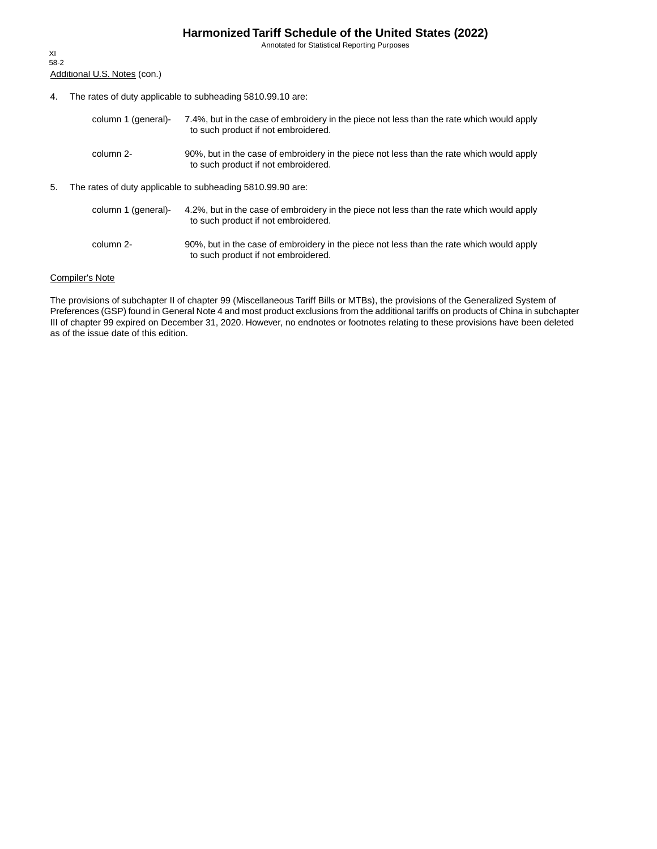Annotated for Statistical Reporting Purposes

Additional U.S. Notes (con.) XI 58-2

- 4. The rates of duty applicable to subheading 5810.99.10 are:
	- 7.4%, but in the case of embroidery in the piece not less than the rate which would apply to such product if not embroidered. column 1 (general)- 90%, but in the case of embroidery in the piece not less than the rate which would apply to such product if not embroidered. column 2-
- 5. The rates of duty applicable to subheading 5810.99.90 are:

| column 1 (general)- | 4.2%, but in the case of embroidery in the piece not less than the rate which would apply<br>to such product if not embroidered. |
|---------------------|----------------------------------------------------------------------------------------------------------------------------------|
| column 2-           | 90%, but in the case of embroidery in the piece not less than the rate which would apply<br>to such product if not embroidered.  |

#### Compiler's Note

The provisions of subchapter II of chapter 99 (Miscellaneous Tariff Bills or MTBs), the provisions of the Generalized System of Preferences (GSP) found in General Note 4 and most product exclusions from the additional tariffs on products of China in subchapter III of chapter 99 expired on December 31, 2020. However, no endnotes or footnotes relating to these provisions have been deleted as of the issue date of this edition.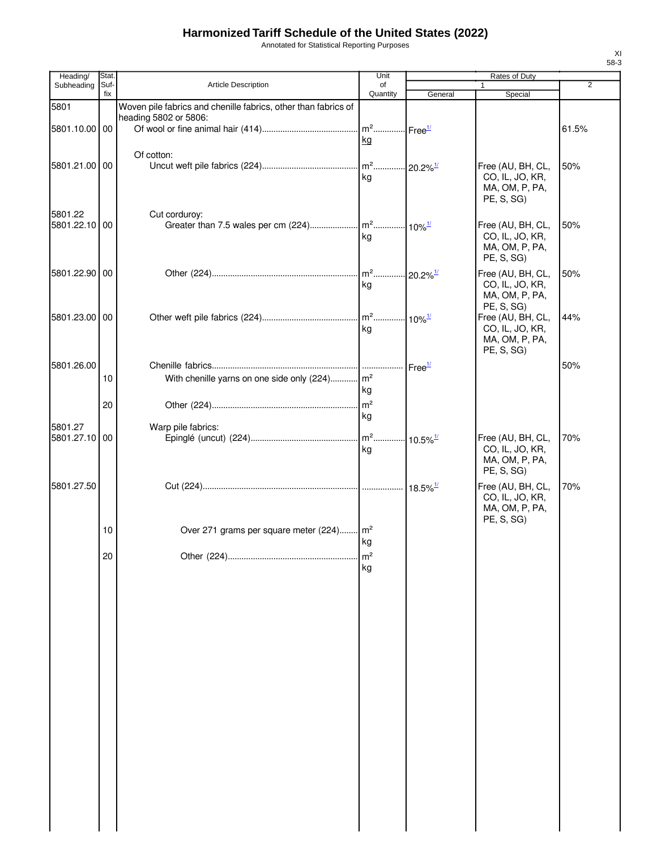Annotated for Statistical Reporting Purposes

| Heading/      | Stat.       |                                                                | Unit           |                             | Rates of Duty                        |                |
|---------------|-------------|----------------------------------------------------------------|----------------|-----------------------------|--------------------------------------|----------------|
| Subheading    | Suf-<br>fix | <b>Article Description</b>                                     | of<br>Quantity | General                     | Special                              | $\overline{2}$ |
| 5801          |             | Woven pile fabrics and chenille fabrics, other than fabrics of |                |                             |                                      |                |
|               |             | heading 5802 or 5806:                                          |                |                             |                                      |                |
| 5801.10.00 00 |             |                                                                | $m2$           | $\cdot$ Free $\frac{1}{2}$  |                                      | 61.5%          |
|               |             |                                                                | kg             |                             |                                      |                |
| 5801.21.00 00 |             | Of cotton:                                                     |                |                             | Free (AU, BH, CL,                    | 50%            |
|               |             |                                                                | kg             |                             | CO, IL, JO, KR,                      |                |
|               |             |                                                                |                |                             | MA, OM, P, PA,                       |                |
|               |             |                                                                |                |                             | PE, S, SG)                           |                |
| 5801.22       |             | Cut corduroy:                                                  |                |                             |                                      |                |
| 5801.22.10 00 |             |                                                                |                |                             | Free (AU, BH, CL,                    | 50%            |
|               |             |                                                                | kg             |                             | CO, IL, JO, KR,<br>MA, OM, P, PA,    |                |
|               |             |                                                                |                |                             | PE, S, SG)                           |                |
| 5801.22.90 00 |             |                                                                |                | $20.2\%$ <sup>1/</sup>      | Free (AU, BH, CL,                    | 50%            |
|               |             |                                                                | kg             |                             | CO, IL, JO, KR,                      |                |
|               |             |                                                                |                |                             | MA, OM, P, PA,                       |                |
| 5801.23.00 00 |             |                                                                |                |                             | PE, S, SG)<br>Free (AU, BH, CL,      | 44%            |
|               |             |                                                                | kg             |                             | CO, IL, JO, KR,                      |                |
|               |             |                                                                |                |                             | MA, OM, P, PA,                       |                |
|               |             |                                                                |                |                             | PE, S, SG)                           |                |
| 5801.26.00    |             |                                                                |                | Free <sup>1/</sup>          |                                      | 50%            |
|               | 10          | With chenille yarns on one side only (224) m <sup>2</sup>      |                |                             |                                      |                |
|               |             |                                                                | kg             |                             |                                      |                |
|               | 20          |                                                                |                |                             |                                      |                |
| 5801.27       |             | Warp pile fabrics:                                             | kg             |                             |                                      |                |
| 5801.27.10 00 |             |                                                                |                | $\cdot$ 10.5% $\frac{1}{2}$ | Free (AU, BH, CL,                    | 70%            |
|               |             |                                                                | kg             |                             | CO, IL, JO, KR,                      |                |
|               |             |                                                                |                |                             | MA, OM, P, PA,                       |                |
|               |             |                                                                |                |                             | PE, S, SG)                           |                |
| 5801.27.50    |             |                                                                |                | $18.5\%$ <sup>1/</sup>      | Free (AU, BH, CL,<br>CO, IL, JO, KR, | 70%            |
|               |             |                                                                |                |                             | MA, OM, P, PA,                       |                |
|               |             |                                                                |                |                             | PE, S, SG)                           |                |
|               | 10          | Over 271 grams per square meter (224) m <sup>2</sup>           |                |                             |                                      |                |
|               |             |                                                                | kg             |                             |                                      |                |
|               | 20          |                                                                | m <sup>2</sup> |                             |                                      |                |
|               |             |                                                                | kg             |                             |                                      |                |
|               |             |                                                                |                |                             |                                      |                |
|               |             |                                                                |                |                             |                                      |                |
|               |             |                                                                |                |                             |                                      |                |
|               |             |                                                                |                |                             |                                      |                |
|               |             |                                                                |                |                             |                                      |                |
|               |             |                                                                |                |                             |                                      |                |
|               |             |                                                                |                |                             |                                      |                |
|               |             |                                                                |                |                             |                                      |                |
|               |             |                                                                |                |                             |                                      |                |
|               |             |                                                                |                |                             |                                      |                |
|               |             |                                                                |                |                             |                                      |                |
|               |             |                                                                |                |                             |                                      |                |
|               |             |                                                                |                |                             |                                      |                |
|               |             |                                                                |                |                             |                                      |                |
|               |             |                                                                |                |                             |                                      |                |
|               |             |                                                                |                |                             |                                      |                |
|               |             |                                                                |                |                             |                                      |                |
|               |             |                                                                |                |                             |                                      |                |
|               |             |                                                                |                |                             |                                      |                |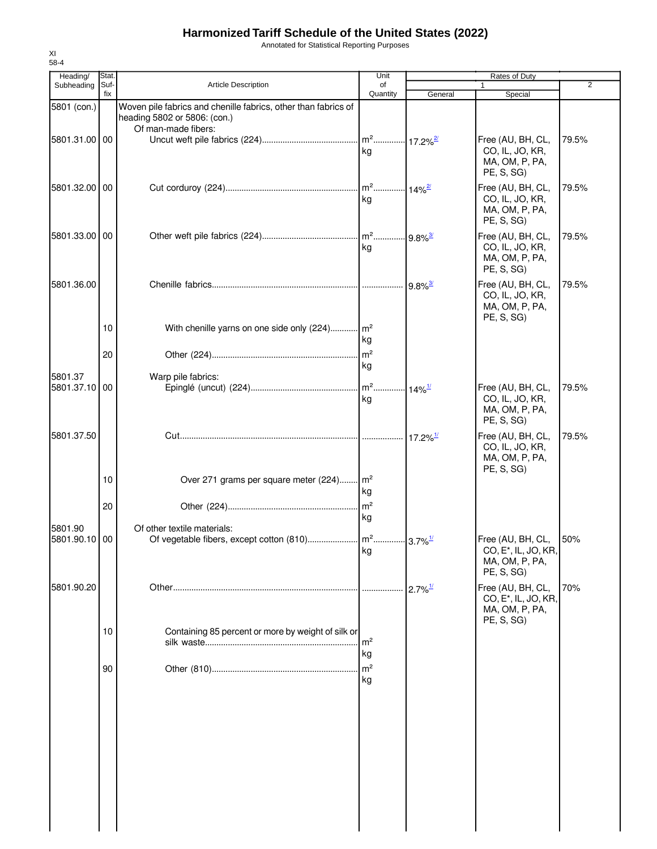Annotated for Statistical Reporting Purposes

| Heading/                 | Stat.                 |                                                                                                                       | Unit                 |                        | Rates of Duty                                                                         |       |
|--------------------------|-----------------------|-----------------------------------------------------------------------------------------------------------------------|----------------------|------------------------|---------------------------------------------------------------------------------------|-------|
| Subheading               | Suf-<br>fix           | Article Description                                                                                                   | of<br>Quantity       | General                | 1<br>Special                                                                          | 2     |
| 5801 (con.)              |                       | Woven pile fabrics and chenille fabrics, other than fabrics of<br>heading 5802 or 5806: (con.)<br>Of man-made fibers: |                      |                        |                                                                                       |       |
| 5801.31.00 00            |                       |                                                                                                                       | kg                   |                        | Free (AU, BH, CL,<br>CO, IL, JO, KR,<br>MA, OM, P, PA,<br>PE, S, SG)                  | 79.5% |
| 5801.32.00 00            |                       |                                                                                                                       | ka                   |                        | Free (AU, BH, CL,<br>CO, IL, JO, KR,<br>MA, OM, P, PA,<br>PE, S, SG)                  | 79.5% |
| 5801.33.00 00            |                       |                                                                                                                       | kg                   | $.9.8\%$ <sup>3/</sup> | Free (AU, BH, CL,<br>CO, IL, JO, KR,<br>MA, OM, P, PA,<br>PE, S, SG)                  | 79.5% |
| 5801.36.00               |                       |                                                                                                                       |                      | $9.8\%$ <sup>3/</sup>  | Free (AU, BH, CL,<br>CO, IL, JO, KR,<br>MA, OM, P, PA,<br>PE, S, SG)                  | 79.5% |
|                          | 10 <sup>°</sup><br>20 | With chenille yarns on one side only (224) m <sup>2</sup>                                                             | kg                   |                        |                                                                                       |       |
| 5801.37<br>5801.37.10 00 |                       | Warp pile fabrics:                                                                                                    | kg<br>kg             | $14\%$ <sup>1/</sup>   | Free (AU, BH, CL,<br>CO, IL, JO, KR,<br>MA, OM, P, PA,<br>PE, S, SG)                  | 79.5% |
| 5801.37.50               |                       |                                                                                                                       |                      | $17.2\%$ <sup>1/</sup> | Free (AU, BH, CL,<br>CO, IL, JO, KR,<br>MA, OM, P, PA,<br>PE, S, SG)                  | 79.5% |
|                          | 10 <sup>°</sup>       | Over 271 grams per square meter (224) m <sup>2</sup>                                                                  | kg                   |                        |                                                                                       |       |
| 5801.90                  | 20                    | Of other textile materials:                                                                                           | kg                   |                        |                                                                                       |       |
| 5801.90.10 00            |                       |                                                                                                                       | kg                   |                        | Free (AU, BH, CL,<br>CO, E <sup>*</sup> , IL, JO, KR,<br>MA, OM, P, PA,<br>PE, S, SG) | 50%   |
| 5801.90.20               |                       |                                                                                                                       |                      | $2.7\%$ <sup>1/</sup>  | Free (AU, BH, CL,<br>CO, E <sup>*</sup> , IL, JO, KR,<br>MA, OM, P, PA,<br>PE, S, SG) | 70%   |
|                          | 10 <sup>°</sup>       | Containing 85 percent or more by weight of silk or                                                                    | m <sup>2</sup><br>kg |                        |                                                                                       |       |
|                          | 90                    |                                                                                                                       | m <sup>2</sup><br>kg |                        |                                                                                       |       |
|                          |                       |                                                                                                                       |                      |                        |                                                                                       |       |
|                          |                       |                                                                                                                       |                      |                        |                                                                                       |       |
|                          |                       |                                                                                                                       |                      |                        |                                                                                       |       |
|                          |                       |                                                                                                                       |                      |                        |                                                                                       |       |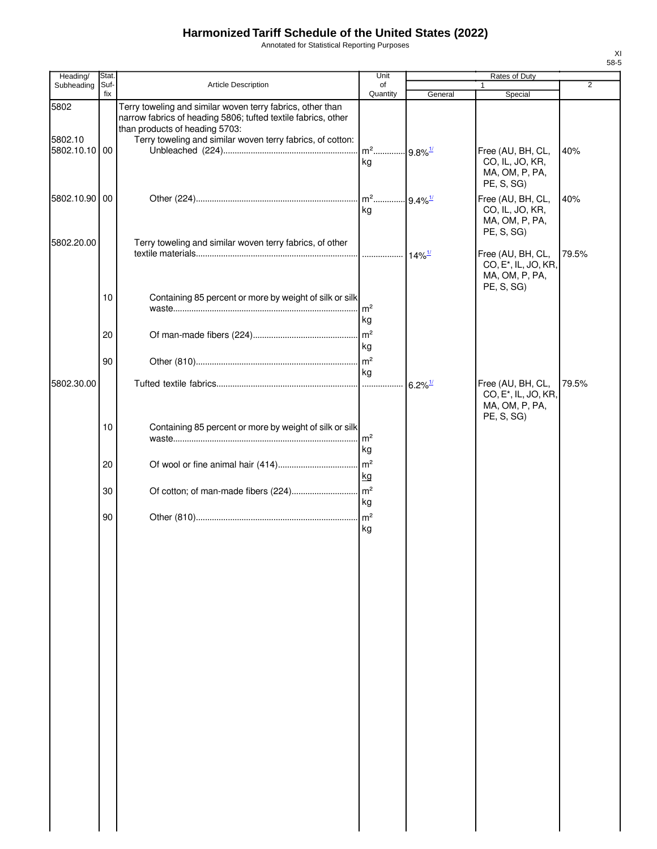Annotated for Statistical Reporting Purposes

| Heading/                 | Stat.       |                                                                                                                                                               | Unit                                    |                        | Rates of Duty                                                                         |       |
|--------------------------|-------------|---------------------------------------------------------------------------------------------------------------------------------------------------------------|-----------------------------------------|------------------------|---------------------------------------------------------------------------------------|-------|
| Subheading               | Suf-<br>fix | Article Description                                                                                                                                           | of<br>Quantity                          |                        | 1.                                                                                    | 2     |
| 5802                     |             | Terry toweling and similar woven terry fabrics, other than<br>narrow fabrics of heading 5806; tufted textile fabrics, other<br>than products of heading 5703: |                                         | General                | Special                                                                               |       |
| 5802.10<br>5802.10.10 00 |             | Terry toweling and similar woven terry fabrics, of cotton:                                                                                                    | m <sup>2</sup> 9.8% <sup>1/</sup><br>kg |                        | Free (AU, BH, CL,<br>CO, IL, JO, KR,<br>MA, OM, P, PA,<br>PE, S, SG)                  | 40%   |
| 5802.10.90 00            |             |                                                                                                                                                               | $m^2$<br>kg                             | $-9.4\%$ <sup>1/</sup> | Free (AU, BH, CL,<br>CO, IL, JO, KR,<br>MA, OM, P, PA,<br>PE, S, SG)                  | 40%   |
| 5802.20.00               |             | Terry toweling and similar woven terry fabrics, of other                                                                                                      | .                                       | $14\%$ <sup>1/</sup>   | Free (AU, BH, CL,<br>CO, E <sup>*</sup> , IL, JO, KR,<br>MA, OM, P, PA,<br>PE, S, SG) | 79.5% |
|                          | 10          | Containing 85 percent or more by weight of silk or silk                                                                                                       | m <sup>2</sup><br>kg                    |                        |                                                                                       |       |
|                          | 20<br>90    |                                                                                                                                                               | $\mathsf{Im}^2$<br>kg<br>$\mathsf{m}^2$ |                        |                                                                                       |       |
| 5802.30.00               |             |                                                                                                                                                               | kg<br>.                                 | $6.2\%$ <sup>1/</sup>  | Free (AU, BH, CL,<br>CO, E <sup>*</sup> , IL, JO, KR,                                 | 79.5% |
|                          | 10          | Containing 85 percent or more by weight of silk or silk                                                                                                       | $\rm{m}^2$<br>kg                        |                        | MA, OM, P, PA,<br>PE, S, SG)                                                          |       |
|                          | 20          |                                                                                                                                                               | m <sup>2</sup><br>kg                    |                        |                                                                                       |       |
|                          | 30          | Of cotton; of man-made fibers (224)                                                                                                                           | m <sup>2</sup><br>kg                    |                        |                                                                                       |       |
|                          | 90          |                                                                                                                                                               | $\mathsf{Im}^2$<br>kg                   |                        |                                                                                       |       |
|                          |             |                                                                                                                                                               |                                         |                        |                                                                                       |       |
|                          |             |                                                                                                                                                               |                                         |                        |                                                                                       |       |
|                          |             |                                                                                                                                                               |                                         |                        |                                                                                       |       |
|                          |             |                                                                                                                                                               |                                         |                        |                                                                                       |       |
|                          |             |                                                                                                                                                               |                                         |                        |                                                                                       |       |
|                          |             |                                                                                                                                                               |                                         |                        |                                                                                       |       |
|                          |             |                                                                                                                                                               |                                         |                        |                                                                                       |       |
|                          |             |                                                                                                                                                               |                                         |                        |                                                                                       |       |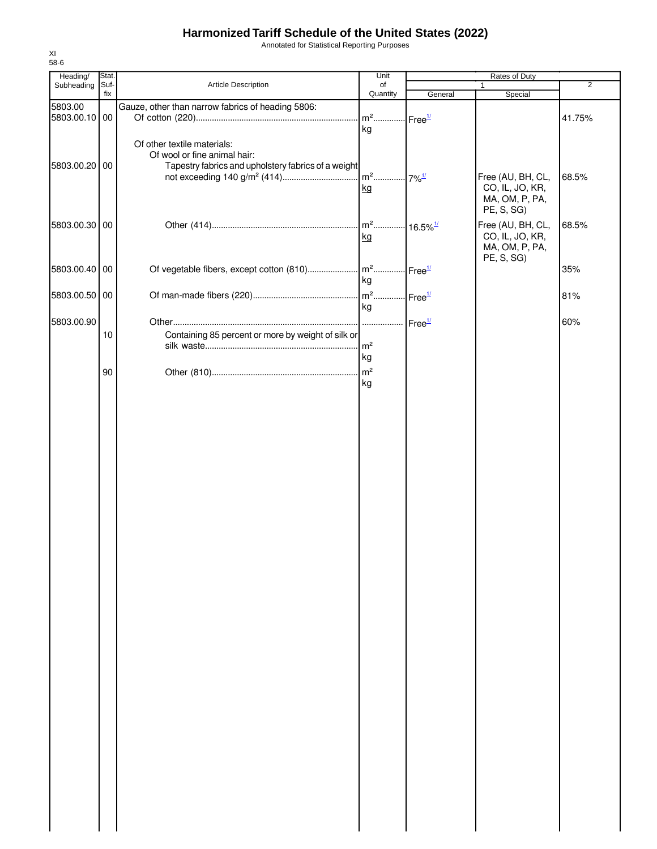Annotated for Statistical Reporting Purposes

| Heading/      | Stat. |                                                     | Unit                     |                      | Rates of Duty                     |                |
|---------------|-------|-----------------------------------------------------|--------------------------|----------------------|-----------------------------------|----------------|
| Subheading    | Suf-  | Article Description                                 | of                       |                      | 1                                 | $\overline{2}$ |
|               | fix   |                                                     | Quantity                 | General              | Special                           |                |
| 5803.00       |       | Gauze, other than narrow fabrics of heading 5806:   |                          |                      |                                   |                |
| 5803.00.10 00 |       |                                                     | $m^2$ Free <sup>1/</sup> |                      |                                   | 41.75%         |
|               |       |                                                     | kg                       |                      |                                   |                |
|               |       | Of other textile materials:                         |                          |                      |                                   |                |
|               |       | Of wool or fine animal hair:                        |                          |                      |                                   |                |
| 5803.00.20 00 |       | Tapestry fabrics and upholstery fabrics of a weight |                          |                      |                                   |                |
|               |       |                                                     |                          |                      | Free (AU, BH, CL,                 | 68.5%          |
|               |       |                                                     | kg                       |                      | CO, IL, JO, KR,                   |                |
|               |       |                                                     |                          |                      | MA, OM, P, PA,                    |                |
|               |       |                                                     |                          |                      | PE, S, SG)                        |                |
| 5803.00.30 00 |       |                                                     |                          |                      | Free (AU, BH, CL,                 |                |
|               |       |                                                     |                          |                      |                                   | 68.5%          |
|               |       |                                                     | kg                       |                      | CO, IL, JO, KR,<br>MA, OM, P, PA, |                |
|               |       |                                                     |                          |                      | PE, S, SG)                        |                |
| 5803.00.40 00 |       |                                                     |                          |                      |                                   | 35%            |
|               |       |                                                     |                          | Free <sup>1/</sup>   |                                   |                |
|               |       |                                                     | kg                       |                      |                                   |                |
| 5803.00.50 00 |       |                                                     | $m^2$                    | $Free^{\frac{1}{2}}$ |                                   | 81%            |
|               |       |                                                     | kg                       |                      |                                   |                |
| 5803.00.90    |       |                                                     |                          | Free <sup>1/</sup>   |                                   | 60%            |
|               | 10    | Containing 85 percent or more by weight of silk or  |                          |                      |                                   |                |
|               |       |                                                     | $\mathsf{Im}^2$          |                      |                                   |                |
|               |       |                                                     | kg                       |                      |                                   |                |
|               |       |                                                     |                          |                      |                                   |                |
|               | 90    |                                                     | m <sup>2</sup>           |                      |                                   |                |
|               |       |                                                     | kg                       |                      |                                   |                |
|               |       |                                                     |                          |                      |                                   |                |
|               |       |                                                     |                          |                      |                                   |                |
|               |       |                                                     |                          |                      |                                   |                |
|               |       |                                                     |                          |                      |                                   |                |
|               |       |                                                     |                          |                      |                                   |                |
|               |       |                                                     |                          |                      |                                   |                |
|               |       |                                                     |                          |                      |                                   |                |
|               |       |                                                     |                          |                      |                                   |                |
|               |       |                                                     |                          |                      |                                   |                |
|               |       |                                                     |                          |                      |                                   |                |
|               |       |                                                     |                          |                      |                                   |                |
|               |       |                                                     |                          |                      |                                   |                |
|               |       |                                                     |                          |                      |                                   |                |
|               |       |                                                     |                          |                      |                                   |                |
|               |       |                                                     |                          |                      |                                   |                |
|               |       |                                                     |                          |                      |                                   |                |
|               |       |                                                     |                          |                      |                                   |                |
|               |       |                                                     |                          |                      |                                   |                |
|               |       |                                                     |                          |                      |                                   |                |
|               |       |                                                     |                          |                      |                                   |                |
|               |       |                                                     |                          |                      |                                   |                |
|               |       |                                                     |                          |                      |                                   |                |
|               |       |                                                     |                          |                      |                                   |                |
|               |       |                                                     |                          |                      |                                   |                |
|               |       |                                                     |                          |                      |                                   |                |
|               |       |                                                     |                          |                      |                                   |                |
|               |       |                                                     |                          |                      |                                   |                |
|               |       |                                                     |                          |                      |                                   |                |
|               |       |                                                     |                          |                      |                                   |                |
|               |       |                                                     |                          |                      |                                   |                |
|               |       |                                                     |                          |                      |                                   |                |
|               |       |                                                     |                          |                      |                                   |                |
|               |       |                                                     |                          |                      |                                   |                |
|               |       |                                                     |                          |                      |                                   |                |
|               |       |                                                     |                          |                      |                                   |                |
|               |       |                                                     |                          |                      |                                   |                |
|               |       |                                                     |                          |                      |                                   |                |
|               |       |                                                     |                          |                      |                                   |                |
|               |       |                                                     |                          |                      |                                   |                |
|               |       |                                                     |                          |                      |                                   |                |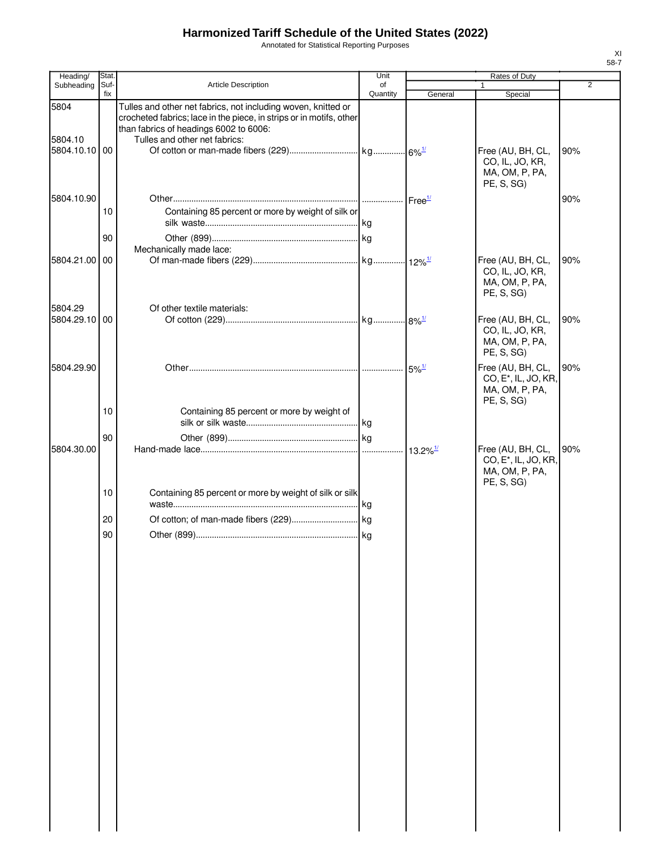Annotated for Statistical Reporting Purposes

| Suf-<br>Article Description<br>Subheading<br>of<br>$\mathbf{1}$<br>fix<br>Quantity<br>General<br>Special<br>5804<br>Tulles and other net fabrics, not including woven, knitted or<br>crocheted fabrics; lace in the piece, in strips or in motifs, other<br>than fabrics of headings 6002 to 6006:<br>Tulles and other net fabrics:<br>5804.10<br>5804.10.10 00<br>Free (AU, BH, CL,<br>CO, IL, JO, KR,<br>MA, OM, P, PA,<br>PE, S, SG)<br>5804.10.90<br>Containing 85 percent or more by weight of silk or<br>10<br>90<br>Mechanically made lace:<br>5804.21.00 00<br>Free (AU, BH, CL,<br>CO, IL, JO, KR,<br>MA, OM, P, PA, | $\overline{2}$<br>90%<br>90% |
|-------------------------------------------------------------------------------------------------------------------------------------------------------------------------------------------------------------------------------------------------------------------------------------------------------------------------------------------------------------------------------------------------------------------------------------------------------------------------------------------------------------------------------------------------------------------------------------------------------------------------------|------------------------------|
|                                                                                                                                                                                                                                                                                                                                                                                                                                                                                                                                                                                                                               |                              |
|                                                                                                                                                                                                                                                                                                                                                                                                                                                                                                                                                                                                                               |                              |
|                                                                                                                                                                                                                                                                                                                                                                                                                                                                                                                                                                                                                               |                              |
|                                                                                                                                                                                                                                                                                                                                                                                                                                                                                                                                                                                                                               |                              |
|                                                                                                                                                                                                                                                                                                                                                                                                                                                                                                                                                                                                                               | 90%                          |
| PE, S, SG)                                                                                                                                                                                                                                                                                                                                                                                                                                                                                                                                                                                                                    |                              |
| 5804.29<br>Of other textile materials:<br>5804.29.10 00<br>Free (AU, BH, CL,<br>CO, IL, JO, KR,<br>MA, OM, P, PA,<br>PE, S, SG)                                                                                                                                                                                                                                                                                                                                                                                                                                                                                               | 90%                          |
| 5804.29.90<br>Free (AU, BH, CL,<br>CO, E <sup>*</sup> , IL, JO, KR,<br>MA, OM, P, PA,<br>PE, S, SG                                                                                                                                                                                                                                                                                                                                                                                                                                                                                                                            | 90%                          |
| 10<br>Containing 85 percent or more by weight of                                                                                                                                                                                                                                                                                                                                                                                                                                                                                                                                                                              |                              |
| 90<br>5804.30.00<br>Free (AU, BH, CL,<br>13.2%1<br>CO, E <sup>*</sup> , IL, JO, KR,<br>MA, OM, P, PA,                                                                                                                                                                                                                                                                                                                                                                                                                                                                                                                         | 90%                          |
| PE, S, SG)<br>10<br>Containing 85 percent or more by weight of silk or silk                                                                                                                                                                                                                                                                                                                                                                                                                                                                                                                                                   |                              |
| 20                                                                                                                                                                                                                                                                                                                                                                                                                                                                                                                                                                                                                            |                              |
| 90                                                                                                                                                                                                                                                                                                                                                                                                                                                                                                                                                                                                                            |                              |
|                                                                                                                                                                                                                                                                                                                                                                                                                                                                                                                                                                                                                               |                              |
|                                                                                                                                                                                                                                                                                                                                                                                                                                                                                                                                                                                                                               |                              |
|                                                                                                                                                                                                                                                                                                                                                                                                                                                                                                                                                                                                                               |                              |
|                                                                                                                                                                                                                                                                                                                                                                                                                                                                                                                                                                                                                               |                              |
|                                                                                                                                                                                                                                                                                                                                                                                                                                                                                                                                                                                                                               |                              |
|                                                                                                                                                                                                                                                                                                                                                                                                                                                                                                                                                                                                                               |                              |
|                                                                                                                                                                                                                                                                                                                                                                                                                                                                                                                                                                                                                               |                              |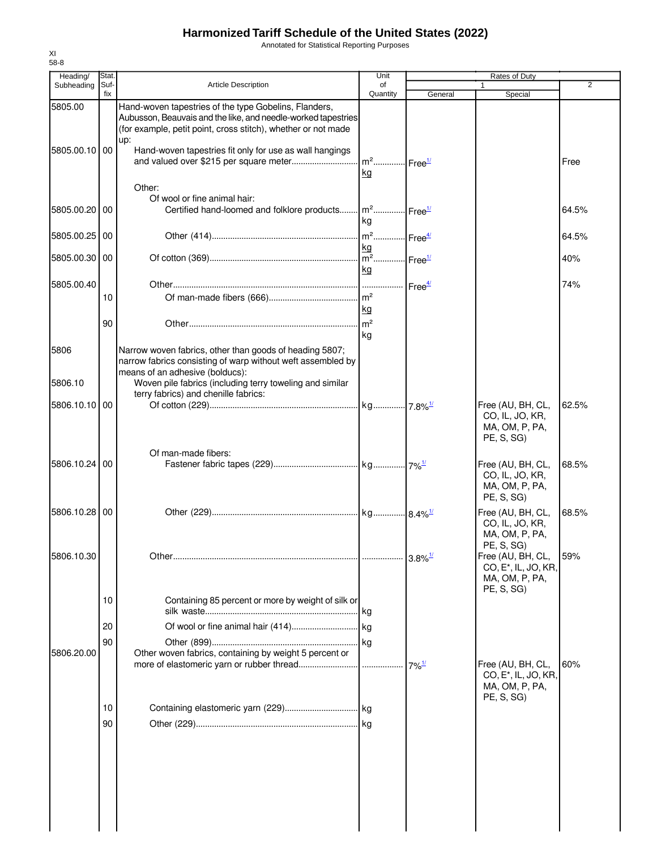Annotated for Statistical Reporting Purposes

| Heading/                 | Stat.       |                                                                                                                                                                                                                                                           | Unit                              |                     | Rates of Duty                                                           |       |
|--------------------------|-------------|-----------------------------------------------------------------------------------------------------------------------------------------------------------------------------------------------------------------------------------------------------------|-----------------------------------|---------------------|-------------------------------------------------------------------------|-------|
| Subheading               | Suf-<br>fix | <b>Article Description</b>                                                                                                                                                                                                                                | of<br>Quantity                    | General             | 1<br>Special                                                            | 2     |
| 5805.00<br>5805.00.10 00 |             | Hand-woven tapestries of the type Gobelins, Flanders,<br>Aubusson, Beauvais and the like, and needle-worked tapestries<br>(for example, petit point, cross stitch), whether or not made<br>up:<br>Hand-woven tapestries fit only for use as wall hangings | m <sup>2</sup> Free <sup>1/</sup> |                     |                                                                         | Free  |
|                          |             | Other:                                                                                                                                                                                                                                                    | kg                                |                     |                                                                         |       |
| 5805.00.20 00            |             | Of wool or fine animal hair:<br>Certified hand-loomed and folklore products m <sup>2</sup> Free <sup>1/</sup>                                                                                                                                             | kg                                |                     |                                                                         | 64.5% |
| 5805.00.25 00            |             |                                                                                                                                                                                                                                                           |                                   |                     |                                                                         | 64.5% |
| 5805.00.30   00          |             |                                                                                                                                                                                                                                                           | kg<br>kg                          |                     |                                                                         | 40%   |
| 5805.00.40               | 10          |                                                                                                                                                                                                                                                           | kg                                |                     |                                                                         | 74%   |
|                          | 90          |                                                                                                                                                                                                                                                           | m <sup>2</sup><br>kg              |                     |                                                                         |       |
| 5806<br>5806.10          |             | Narrow woven fabrics, other than goods of heading 5807;<br>narrow fabrics consisting of warp without weft assembled by<br>means of an adhesive (bolducs):<br>Woven pile fabrics (including terry toweling and similar                                     |                                   |                     |                                                                         |       |
| 5806.10.10 00            |             | terry fabrics) and chenille fabrics:                                                                                                                                                                                                                      |                                   |                     | Free (AU, BH, CL,                                                       | 62.5% |
|                          |             | Of man-made fibers:                                                                                                                                                                                                                                       |                                   |                     | CO, IL, JO, KR,<br>MA, OM, P, PA,<br>PE, S, SG)                         |       |
| 5806.10.24 00            |             |                                                                                                                                                                                                                                                           |                                   |                     | Free (AU, BH, CL,<br>CO, IL, JO, KR,<br>MA, OM, P, PA,<br>PE, S, SG)    | 68.5% |
| 5806.10.28 00            |             |                                                                                                                                                                                                                                                           |                                   |                     | Free (AU, BH, CL,<br>CO, IL, JO, KR,<br>MA, OM, P, PA,<br>PE, S, SG)    | 68.5% |
| 5806.10.30               |             |                                                                                                                                                                                                                                                           |                                   |                     | Free (AU, BH, CL,<br>CO, E <sup>*</sup> , IL, JO, KR,<br>MA, OM, P, PA, | 59%   |
|                          | 10          | Containing 85 percent or more by weight of silk or                                                                                                                                                                                                        |                                   |                     | PE, S, SG)                                                              |       |
|                          | 20          |                                                                                                                                                                                                                                                           |                                   |                     |                                                                         |       |
| 5806.20.00               | 90          | Other woven fabrics, containing by weight 5 percent or                                                                                                                                                                                                    |                                   | $7\%$ <sup>1/</sup> | Free (AU, BH, CL,                                                       | 60%   |
|                          |             |                                                                                                                                                                                                                                                           |                                   |                     | CO, E <sup>*</sup> , IL, JO, KR,<br>MA, OM, P, PA,<br>PE, S, SG)        |       |
|                          | 10          |                                                                                                                                                                                                                                                           |                                   |                     |                                                                         |       |
|                          | 90          |                                                                                                                                                                                                                                                           |                                   |                     |                                                                         |       |
|                          |             |                                                                                                                                                                                                                                                           |                                   |                     |                                                                         |       |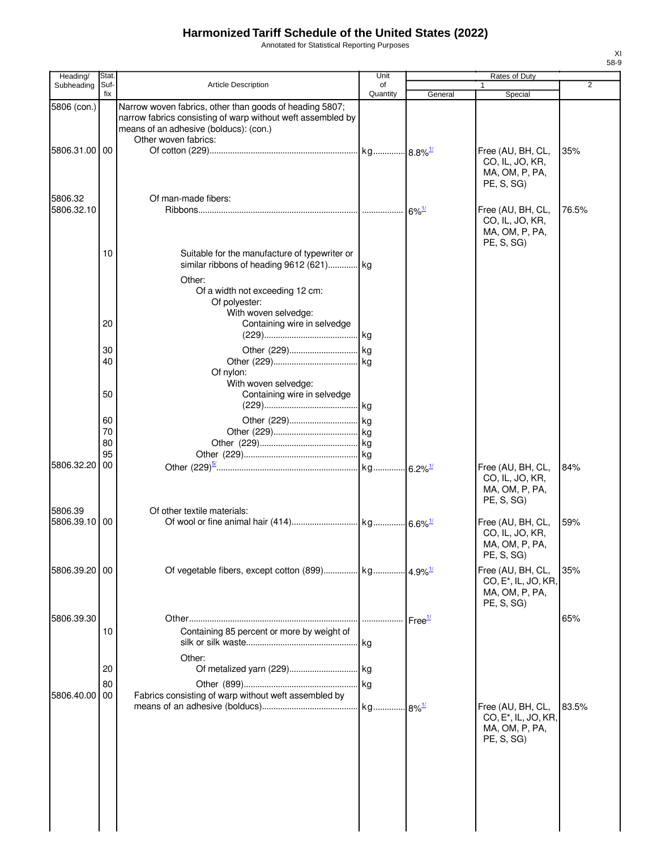Annotated for Statistical Reporting Purposes

| Heading/                  | Stat                 |                                                                                                                                                                                          | Unit           |                          | Rates of Duty                                                                         |                |
|---------------------------|----------------------|------------------------------------------------------------------------------------------------------------------------------------------------------------------------------------------|----------------|--------------------------|---------------------------------------------------------------------------------------|----------------|
| Subheading                | Suf-<br>fix          | Article Description                                                                                                                                                                      | of<br>Quantity | General                  | Special                                                                               | $\overline{2}$ |
| 5806 (con.)<br>5806.31.00 | 00                   | Narrow woven fabrics, other than goods of heading 5807;<br>narrow fabrics consisting of warp without weft assembled by<br>means of an adhesive (bolducs): (con.)<br>Other woven fabrics: |                |                          | Free (AU, BH, CL,<br>CO, IL, JO, KR,<br>MA, OM, P, PA,<br>PE, S, SG)                  | 35%            |
| 5806.32<br>5806.32.10     |                      | Of man-made fibers:                                                                                                                                                                      |                | $\cdot$ 6% $\frac{1}{2}$ | Free (AU, BH, CL,<br>CO, IL, JO, KR,<br>MA, OM, P, PA,                                | 76.5%          |
|                           | 10                   | Suitable for the manufacture of typewriter or<br>similar ribbons of heading 9612 (621) kg<br>Other:<br>Of a width not exceeding 12 cm:<br>Of polyester:<br>With woven selvedge:          |                |                          | PE, S, SG)                                                                            |                |
|                           | 20                   | Containing wire in selvedge                                                                                                                                                              |                |                          |                                                                                       |                |
|                           | 30<br>40             | Of nylon:<br>With woven selvedge:                                                                                                                                                        |                |                          |                                                                                       |                |
|                           | 50                   | Containing wire in selvedge                                                                                                                                                              |                |                          |                                                                                       |                |
|                           | 60<br>70<br>80<br>95 |                                                                                                                                                                                          |                |                          |                                                                                       |                |
| 5806.32.20                | 00                   |                                                                                                                                                                                          |                |                          | Free (AU, BH, CL,<br>CO, IL, JO, KR,<br>MA, OM, P, PA,<br>PE, S, SG)                  | 84%            |
| 5806.39<br>5806.39.10     | 00                   | Of other textile materials:                                                                                                                                                              |                |                          | Free (AU, BH, CL,<br>CO, IL, JO, KR,<br>MA, OM, P, PA,<br>PE, S, SG)                  | 59%            |
| 5806.39.20                | 00                   |                                                                                                                                                                                          |                |                          | Free (AU, BH, CL,<br>CO, E <sup>*</sup> , IL, JO, KR,<br>MA, OM, P, PA,<br>PE, S, SG) | 35%            |
| 5806.39.30                | 10                   | Containing 85 percent or more by weight of<br>Other:                                                                                                                                     |                |                          |                                                                                       | 65%            |
| 5806.40.00                | 20<br>80<br>00       | Of metalized yarn (229) kg<br>Fabrics consisting of warp without weft assembled by                                                                                                       |                |                          |                                                                                       |                |
|                           |                      |                                                                                                                                                                                          |                |                          | Free (AU, BH, CL,<br>CO, E <sup>*</sup> , IL, JO, KR,<br>MA, OM, P, PA,<br>PE, S, SG) | 83.5%          |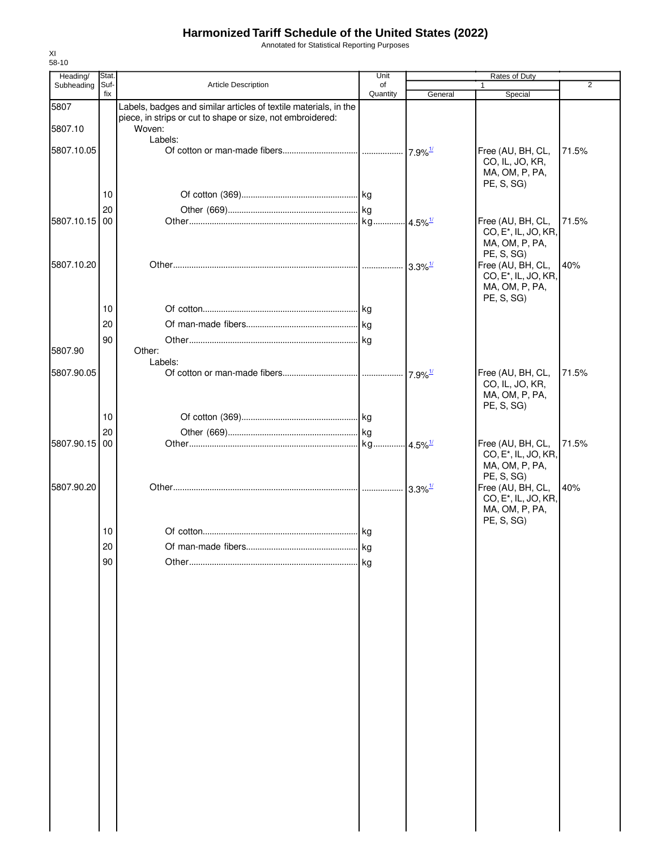Annotated for Statistical Reporting Purposes

| Heading/      | Stat.       |                                                                      | Unit           |                       | Rates of Duty                                                                         |                |
|---------------|-------------|----------------------------------------------------------------------|----------------|-----------------------|---------------------------------------------------------------------------------------|----------------|
| Subheading    | Suf-<br>fix | Article Description                                                  | of<br>Quantity | General               | 1<br>Special                                                                          | $\overline{2}$ |
| 5807          |             | Labels, badges and similar articles of textile materials, in the     |                |                       |                                                                                       |                |
| 5807.10       |             | piece, in strips or cut to shape or size, not embroidered:<br>Woven: |                |                       |                                                                                       |                |
|               |             | Labels:                                                              |                |                       |                                                                                       |                |
| 5807.10.05    |             |                                                                      |                |                       | Free (AU, BH, CL,<br>CO, IL, JO, KR,<br>MA, OM, P, PA,<br>PE, S, SG)                  | 71.5%          |
|               | 10          |                                                                      |                |                       |                                                                                       |                |
|               | 20          |                                                                      |                |                       |                                                                                       |                |
| 5807.10.15 00 |             |                                                                      |                | $4.5\%$ <sup>1/</sup> | Free (AU, BH, CL,                                                                     | 71.5%          |
|               |             |                                                                      |                |                       | CO, E <sup>*</sup> , IL, JO, KR,<br>MA, OM, P, PA,<br>PE, S, SG)                      |                |
| 5807.10.20    |             |                                                                      |                | $3.3\%$ <sup>1/</sup> | Free (AU, BH, CL,<br>CO, E <sup>*</sup> , IL, JO, KR,<br>MA, OM, P, PA,<br>PE, S, SG) | 40%            |
|               | 10          |                                                                      |                |                       |                                                                                       |                |
|               | 20          |                                                                      |                |                       |                                                                                       |                |
|               |             |                                                                      |                |                       |                                                                                       |                |
| 5807.90       | 90          | Other:<br>Labels:                                                    |                |                       |                                                                                       |                |
| 5807.90.05    |             |                                                                      |                | $7.9\%$ <sup>1/</sup> | Free (AU, BH, CL,<br>CO, IL, JO, KR,<br>MA, OM, P, PA,<br>PE, S, SG)                  | 71.5%          |
|               | 10          |                                                                      |                |                       |                                                                                       |                |
|               | 20          |                                                                      |                |                       |                                                                                       |                |
| 5807.90.15    | 00          |                                                                      |                |                       | Free (AU, BH, CL,                                                                     | 71.5%          |
| 5807.90.20    |             |                                                                      |                | $3.3\%$ <sup>1/</sup> | CO, E <sup>*</sup> , IL, JO, KR,<br>MA, OM, P, PA,<br>PE, S, SG)<br>Free (AU, BH, CL, | 40%            |
|               |             |                                                                      |                |                       | CO, E <sup>*</sup> , IL, JO, KR,<br>MA, OM, P, PA,<br>PE, S, SG)                      |                |
|               | 10          |                                                                      |                |                       |                                                                                       |                |
|               | 20          |                                                                      | kg             |                       |                                                                                       |                |
|               | 90          |                                                                      | kg             |                       |                                                                                       |                |
|               |             |                                                                      |                |                       |                                                                                       |                |
|               |             |                                                                      |                |                       |                                                                                       |                |
|               |             |                                                                      |                |                       |                                                                                       |                |
|               |             |                                                                      |                |                       |                                                                                       |                |
|               |             |                                                                      |                |                       |                                                                                       |                |
|               |             |                                                                      |                |                       |                                                                                       |                |
|               |             |                                                                      |                |                       |                                                                                       |                |
|               |             |                                                                      |                |                       |                                                                                       |                |
|               |             |                                                                      |                |                       |                                                                                       |                |
|               |             |                                                                      |                |                       |                                                                                       |                |
|               |             |                                                                      |                |                       |                                                                                       |                |
|               |             |                                                                      |                |                       |                                                                                       |                |
|               |             |                                                                      |                |                       |                                                                                       |                |
|               |             |                                                                      |                |                       |                                                                                       |                |
|               |             |                                                                      |                |                       |                                                                                       |                |
|               |             |                                                                      |                |                       |                                                                                       |                |
|               |             |                                                                      |                |                       |                                                                                       |                |
|               |             |                                                                      |                |                       |                                                                                       |                |
|               |             |                                                                      |                |                       |                                                                                       |                |
|               |             |                                                                      |                |                       |                                                                                       |                |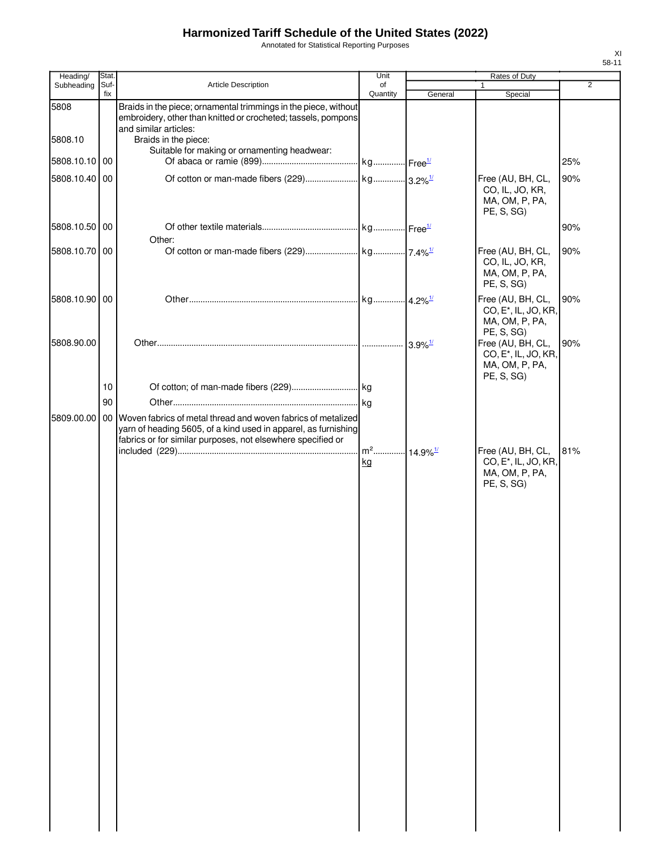Annotated for Statistical Reporting Purposes

| Heading/                 | Stat.       |                                                                                                                                                                                                                 | Unit                               |         | Rates of Duty                                                                         |                |
|--------------------------|-------------|-----------------------------------------------------------------------------------------------------------------------------------------------------------------------------------------------------------------|------------------------------------|---------|---------------------------------------------------------------------------------------|----------------|
| Subheading               | Suf-<br>fix | Article Description                                                                                                                                                                                             | of<br>Quantity                     | General | $\mathbf{1}$<br>Special                                                               | $\overline{2}$ |
| 5808                     |             | Braids in the piece; ornamental trimmings in the piece, without<br>embroidery, other than knitted or crocheted; tassels, pompons<br>and similar articles:                                                       |                                    |         |                                                                                       |                |
| 5808.10<br>5808.10.10 00 |             | Braids in the piece:<br>Suitable for making or ornamenting headwear:                                                                                                                                            |                                    |         |                                                                                       | 25%            |
| 5808.10.40 00            |             |                                                                                                                                                                                                                 |                                    |         | Free (AU, BH, CL,<br>CO, IL, JO, KR,<br>MA, OM, P, PA,<br>PE, S, SG)                  | 90%            |
| 5808.10.50 00            |             | Other:                                                                                                                                                                                                          |                                    |         |                                                                                       | 90%            |
| 5808.10.70 00            |             |                                                                                                                                                                                                                 |                                    |         | Free (AU, BH, CL,<br>CO, IL, JO, KR,<br>MA, OM, P, PA,<br>PE, S, SG)                  | 90%            |
| 5808.10.90 00            |             |                                                                                                                                                                                                                 |                                    |         | Free (AU, BH, CL,<br>CO, E <sup>*</sup> , IL, JO, KR,<br>MA, OM, P, PA,<br>PE, S, SG) | 90%            |
| 5808.90.00               |             |                                                                                                                                                                                                                 |                                    |         | Free (AU, BH, CL,<br>CO, E <sup>*</sup> , IL, JO, KR,<br>MA, OM, P, PA,<br>PE, S, SG) | 90%            |
|                          | 10          |                                                                                                                                                                                                                 |                                    |         |                                                                                       |                |
|                          | 90          |                                                                                                                                                                                                                 |                                    |         |                                                                                       |                |
|                          |             | 5809.00.00   00   Woven fabrics of metal thread and woven fabrics of metalized<br>yarn of heading 5605, of a kind used in apparel, as furnishing<br>fabrics or for similar purposes, not elsewhere specified or | m <sup>2</sup> 14.9% <sup>1/</sup> |         | Free (AU, BH, CL,                                                                     | 81%            |
|                          |             |                                                                                                                                                                                                                 | kg                                 |         | CO, E <sup>*</sup> , IL, JO, KR,<br>MA, OM, P, PA,<br>PE, S, SG)                      |                |
|                          |             |                                                                                                                                                                                                                 |                                    |         |                                                                                       |                |
|                          |             |                                                                                                                                                                                                                 |                                    |         |                                                                                       |                |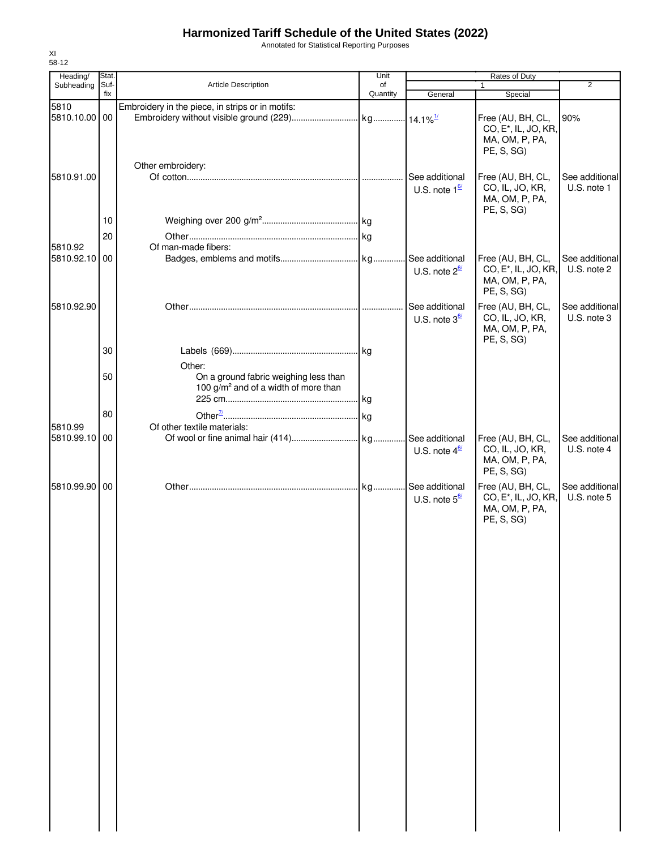Annotated for Statistical Reporting Purposes

| Heading/      | Stat.       |                                                                                           | Unit           |                                                  |                                                                                       |                               |
|---------------|-------------|-------------------------------------------------------------------------------------------|----------------|--------------------------------------------------|---------------------------------------------------------------------------------------|-------------------------------|
| Subheading    | Suf-<br>fix | <b>Article Description</b>                                                                | of<br>Quantity | General                                          | $\mathbf{1}$<br>Special                                                               | $\overline{2}$                |
| 5810          |             | Embroidery in the piece, in strips or in motifs:                                          |                |                                                  |                                                                                       |                               |
| 5810.10.00    | 00          |                                                                                           |                |                                                  | Free (AU, BH, CL,<br>CO, E <sup>*</sup> , IL, JO, KR,<br>MA, OM, P, PA,<br>PE, S, SG) | 90%                           |
| 5810.91.00    |             | Other embroidery:                                                                         |                | See additional<br>U.S. note $1^{\underline{67}}$ | Free (AU, BH, CL,<br>CO, IL, JO, KR,<br>MA, OM, P, PA,                                | See additional<br>U.S. note 1 |
|               | 10          |                                                                                           |                |                                                  | PE, S, SG)                                                                            |                               |
|               | 20          |                                                                                           |                |                                                  |                                                                                       |                               |
| 5810.92       |             | Of man-made fibers:                                                                       |                |                                                  |                                                                                       |                               |
| 5810.92.10 00 |             |                                                                                           |                | See additional<br>U.S. note $2^{\frac{6}{2}}$    | Free (AU, BH, CL,<br>CO, E <sup>*</sup> , IL, JO, KR,<br>MA, OM, P, PA,<br>PE, S, SG) | See additional<br>U.S. note 2 |
| 5810.92.90    |             |                                                                                           |                | See additional<br>U.S. note $3^{\frac{6}{2}}$    | Free (AU, BH, CL,<br>CO, IL, JO, KR,<br>MA, OM, P, PA,<br>PE, S, SG)                  | See additional<br>U.S. note 3 |
|               | 30          | Other:                                                                                    |                |                                                  |                                                                                       |                               |
|               | 50          | On a ground fabric weighing less than<br>100 g/m <sup>2</sup> and of a width of more than |                |                                                  |                                                                                       |                               |
|               | 80          |                                                                                           |                |                                                  |                                                                                       |                               |
| 5810.99       |             | Of other textile materials:                                                               |                |                                                  |                                                                                       |                               |
| 5810.99.10 00 |             |                                                                                           |                | U.S. note $4^{\frac{6}{2}}$                      | Free (AU, BH, CL,<br>CO, IL, JO, KR,<br>MA, OM, P, PA,<br>PE, S, SG)                  | See additional<br>U.S. note 4 |
| 5810.99.90 00 |             |                                                                                           |                | See additional<br>U.S. note $5^{\frac{6}{2}}$    | Free (AU, BH, CL,<br>CO, E <sup>*</sup> , IL, JO, KR,<br>MA, OM, P, PA,<br>PE, S, SG) | See additional<br>U.S. note 5 |
|               |             |                                                                                           |                |                                                  |                                                                                       |                               |
|               |             |                                                                                           |                |                                                  |                                                                                       |                               |
|               |             |                                                                                           |                |                                                  |                                                                                       |                               |
|               |             |                                                                                           |                |                                                  |                                                                                       |                               |
|               |             |                                                                                           |                |                                                  |                                                                                       |                               |
|               |             |                                                                                           |                |                                                  |                                                                                       |                               |
|               |             |                                                                                           |                |                                                  |                                                                                       |                               |
|               |             |                                                                                           |                |                                                  |                                                                                       |                               |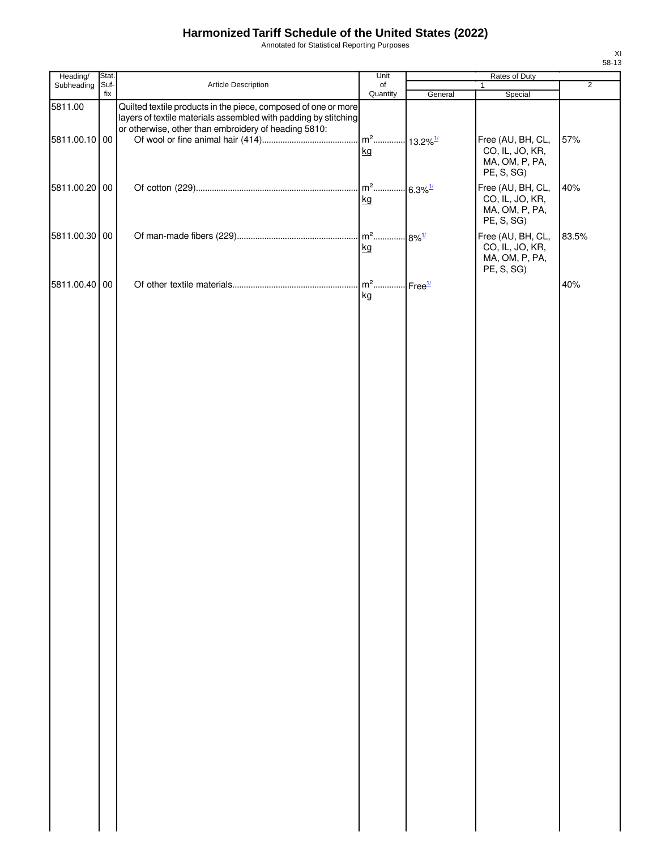Annotated for Statistical Reporting Purposes

| Heading/      | Stat.       |                                                                                                                                                                                           | Unit                                     |                            | Rates of Duty                                                        |                |
|---------------|-------------|-------------------------------------------------------------------------------------------------------------------------------------------------------------------------------------------|------------------------------------------|----------------------------|----------------------------------------------------------------------|----------------|
| Subheading    | Suf-<br>fix | Article Description                                                                                                                                                                       | of<br>Quantity                           | General                    | $\mathbf{1}$<br>Special                                              | $\overline{2}$ |
| 5811.00       |             | Quilted textile products in the piece, composed of one or more<br>layers of textile materials assembled with padding by stitching<br>or otherwise, other than embroidery of heading 5810: |                                          |                            |                                                                      |                |
| 5811.00.10 00 |             |                                                                                                                                                                                           | m <sup>2</sup> 13.2% <sup>1/</sup><br>kg |                            | Free (AU, BH, CL,<br>CO, IL, JO, KR,<br>MA, OM, P, PA,<br>PE, S, SG) | 57%            |
| 5811.00.20 00 |             |                                                                                                                                                                                           | kg                                       | $-6.3\%$ <sup>1/</sup>     | Free (AU, BH, CL,<br>CO, IL, JO, KR,<br>MA, OM, P, PA,<br>PE, S, SG) | 40%            |
| 5811.00.30 00 |             |                                                                                                                                                                                           | $m2$<br>kg                               | $.8\%$ <sup>1/</sup>       | Free (AU, BH, CL,<br>CO, IL, JO, KR,<br>MA, OM, P, PA,<br>PE, S, SG) | 83.5%          |
| 5811.00.40 00 |             |                                                                                                                                                                                           | kg                                       | $\cdot$ Free $\frac{1}{2}$ |                                                                      | 40%            |
|               |             |                                                                                                                                                                                           |                                          |                            |                                                                      |                |